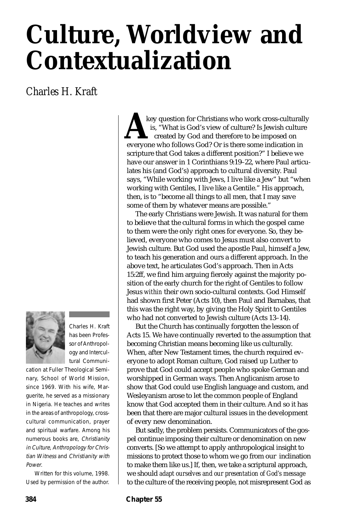# **Culture, Worldview and Contextualization**

*Charles H. Kraft*



Charles H. Kraft has been Professor of Anthropology and Intercultural Communi-

cation at Fuller Theological Seminary, School of World Mission, since 1969. With his wife, Marguerite, he served as a missionary in Nigeria. He teaches and writes in the areas of anthropology, crosscultural communication, prayer and spiritual warfare. Among his numerous books are, Christianity in Culture, Anthropology for Christian Witness and Christianity with Power.

Written for this volume, 1998. Used by permission of the author.

key question for Christians who work cross-culturally is, "What is God's view of culture? Is Jewish culture created by God and therefore to be imposed on key question for Christians who work cross-cultural<br>is, "What is God's view of culture? Is Jewish cultur<br>created by God and therefore to be imposed on<br>everyone who follows God? Or is there some indication in scripture that God takes a different position?" I believe we have our answer in 1 Corinthians 9:19–22, where Paul articulates his (and God's) approach to cultural diversity. Paul says, "While working with Jews, I live like a Jew" but "when working with Gentiles, I live like a Gentile." His approach, then, is to "become all things to all men, that I may save some of them by whatever means are possible."

The early Christians were Jewish. It was natural for them to believe that the cultural forms in which the gospel came to them were the only right ones for everyone. So, they believed, everyone who comes to Jesus must also convert to Jewish culture. But God used the apostle Paul, himself a Jew, to teach his generation and ours a different approach. In the above text, he articulates God's approach. Then in Acts 15:2ff, we find him arguing fiercely against the majority position of the early church for the right of Gentiles to follow Jesus *within* their own socio-cultural contexts. God Himself had shown first Peter (Acts 10), then Paul and Barnabas, that this was the right way, by giving the Holy Spirit to Gentiles who had not converted to Jewish culture (Acts 13–14).

But the Church has continually forgotten the lesson of Acts 15. We have continually reverted to the assumption that becoming Christian means becoming like us culturally. When, after New Testament times, the church required everyone to adopt Roman culture, God raised up Luther to prove that God could accept people who spoke German and worshipped in German ways. Then Anglicanism arose to show that God could use English language and custom, and Wesleyanism arose to let the common people of England know that God accepted them in their culture. And so it has been that there are major cultural issues in the development of every new denomination.

But sadly, the problem persists. Communicators of the gospel continue imposing their culture or denomination on new converts. [So we attempt to apply anthropological insight to missions to protect those to whom we go from our inclination to make them like us.] If, then, we take a scriptural approach, we should *adapt ourselves and our presentation of God's message* to the culture of the receiving people, not misrepresent God as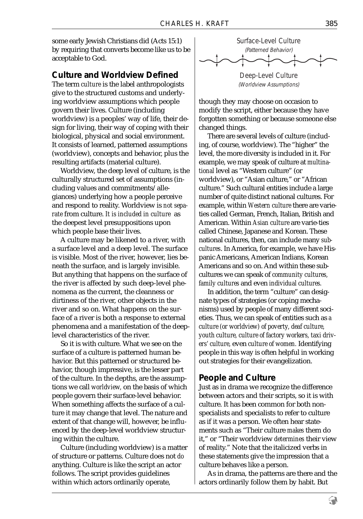some early Jewish Christians did (Acts 15:1) by requiring that converts become like us to be acceptable to God.

#### **Culture and Worldview Defined**

The term *culture* is the label anthropologists give to the structured customs and underlying worldview assumptions which people govern their lives. Culture (including worldview) is a peoples' way of life, their design for living, their way of coping with their biological, physical and social environment. It consists of learned, patterned assumptions (worldview), concepts and behavior, plus the resulting artifacts (material culture).

Worldview, the deep level of culture, is the culturally structured set of assumptions (including values and commitments/allegiances) underlying how a people perceive and respond to reality. Worldview is *not separate* from culture. *It is included in culture* as the deepest level presuppositions upon which people base their lives.

A culture may be likened to a river, with a surface level and a deep level. The surface is visible. Most of the river, however, lies beneath the surface, and is largely invisible. But anything that happens on the surface of the river is affected by such deep-level phenomena as the current, the cleanness or dirtiness of the river, other objects in the river and so on. What happens on the surface of a river is both a response to external phenomena and a manifestation of the deeplevel characteristics of the river.

So it is with culture. What we see on the surface of a culture is patterned human behavior. But this patterned or structured behavior, though impressive, is the lesser part of the culture. In the depths, are the assumptions we call *worldview,* on the basis of which people govern their surface-level behavior. When something affects the surface of a culture it may change that level. The nature and extent of that change will, however, be influenced by the deep-level worldview structuring within the culture.

Culture (including worldview) is a matter of structure or patterns. Culture does not *do* anything. Culture is like the script an actor follows. The script provides guidelines within which actors ordinarily operate,



(Worldview Assumptions)

though they may choose on occasion to modify the script, either because they have forgotten something or because someone else changed things.

There are several levels of culture (including, of course, worldview). The "higher" the level, the more diversity is included in it. For example, we may speak of culture at *multinational* level as "Western culture" (or worldview), or "Asian culture," or "African culture." Such cultural entities include a large number of quite distinct national cultures. For example, within *Western culture* there are varieties called German, French, Italian, British and American. Within *Asian culture* are varie-ties called Chinese, Japanese and Korean. These national cultures, then, can include many *subcultures*. In America, for example, we have Hispanic Americans, American Indians, Korean Americans and so on. And within these subcultures we can speak of *community cultures, family cultures* and even *individual cultures.*

In addition, the term "culture" can designate types of strategies (or coping mechanisms) used by people of many different societies. Thus, we can speak of entities such as *a culture (or worldview) of poverty, deaf culture, youth culture, culture of factory workers, taxi drivers' culture,* even *culture of women.* Identifying people in this way is often helpful in working out strategies for their evangelization.

## **People and Culture**

Just as in drama we recognize the difference between actors and their scripts, so it is with culture. It has been common for both nonspecialists and specialists to refer to culture as if it was a person. We often hear statements such as "Their culture *makes* them do it," or "Their worldview *determines* their view of reality." Note that the italicized verbs in these statements give the impression that a culture behaves like a person.

As in drama, the patterns are there and the actors ordinarily follow them by habit. But

9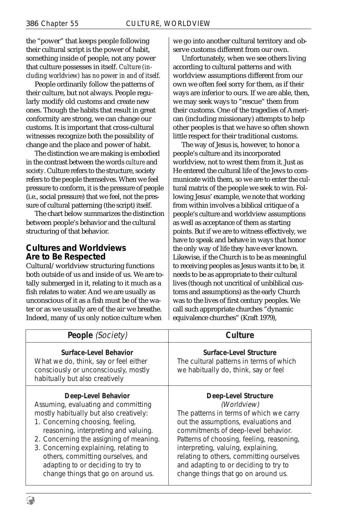the "power" that keeps people following their cultural script is the power of habit, something inside of people, not any power that culture possesses in itself. *Culture (including worldview) has no power in and of itself.*

People ordinarily follow the patterns of their culture, but not always. People regularly modify old customs and create new ones. Though the habits that result in great conformity are strong, we can change our customs. It is important that cross-cultural witnesses recognize both the possibility of change and the place and power of habit.

The distinction we are making is embodied in the contrast between the words *culture* and *society*. Culture refers to the structure, society refers to the people themselves. When we feel pressure to conform, it is the pressure of people (i.e., social pressure) that we feel, not the pressure of cultural patterning (the script) itself.

The chart below summarizes the distinction between people's behavior and the cultural structuring of that behavior.

## **Cultures and Worldviews Are to Be Respected**

Cultural/worldview structuring functions both outside of us and inside of us. We are totally submerged in it, relating to it much as a fish relates to water. And we are usually as unconscious of it as a fish must be of the water or as we usually are of the air we breathe. Indeed, many of us only notice culture when

we go into another cultural territory and observe customs different from our own.

Unfortunately, when we see others living according to cultural patterns and with worldview assumptions different from our own we often feel sorry for them, as if their ways are inferior to ours. If we are able, then, we may seek ways to "rescue" them from their customs. One of the tragedies of American (including missionary) attempts to help other peoples is that we have so often shown little respect for their traditional customs.

The way of Jesus is, however, to honor a people's culture and its incorporated worldview, not to wrest them from it. Just as He entered the cultural life of the Jews to communicate with them, so we are to enter the cultural matrix of the people we seek to win. Following Jesus' example, we note that working from within involves a biblical critique of a people's culture and worldview assumptions as well as acceptance of them as starting points. But if we are to witness effectively, we have to speak and behave in ways that honor the only way of life they have ever known. Likewise, if the Church is to be as meaningful to receiving peoples as Jesus wants it to be, it needs to be as appropriate to their cultural lives (though not uncritical of unbiblical customs and assumptions) as the early Church was to the lives of first century peoples. We call such appropriate churches "dynamic equivalence churches" (Kraft 1979),

| People (Society)                                                                                                                                                                                                                                                                                                                                                                      | Culture                                                                                                                                                                                                                                                                                                                                                                      |
|---------------------------------------------------------------------------------------------------------------------------------------------------------------------------------------------------------------------------------------------------------------------------------------------------------------------------------------------------------------------------------------|------------------------------------------------------------------------------------------------------------------------------------------------------------------------------------------------------------------------------------------------------------------------------------------------------------------------------------------------------------------------------|
| Surface-Level Behavior<br>What we do, think, say or feel either<br>consciously or unconsciously, mostly<br>habitually but also creatively                                                                                                                                                                                                                                             | Surface-Level Structure<br>The cultural patterns in terms of which<br>we habitually do, think, say or feel                                                                                                                                                                                                                                                                   |
| Deep-Level Behavior<br>Assuming, evaluating and committing<br>mostly habitually but also creatively:<br>1. Concerning choosing, feeling,<br>reasoning, interpreting and valuing.<br>2. Concerning the assigning of meaning.<br>3. Concerning explaining, relating to<br>others, committing ourselves, and<br>adapting to or deciding to try to<br>change things that go on around us. | Deep-Level Structure<br>(Worldview)<br>The patterns in terms of which we carry<br>out the assumptions, evaluations and<br>commitments of deep-level behavior.<br>Patterns of choosing, feeling, reasoning,<br>interpreting, valuing, explaining,<br>relating to others, committing ourselves<br>and adapting to or deciding to try to<br>change things that go on around us. |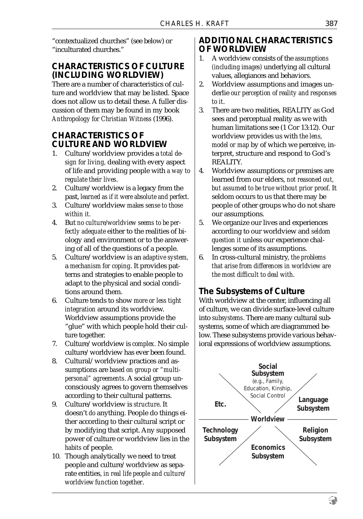"contextualized churches" (see below) or "inculturated churches."

# **CHARACTERISTICS OF CULTURE (INCLUDING WORLDVIEW)**

There are a number of characteristics of culture and worldview that may be listed. Space does not allow us to detail these. A fuller discussion of them may be found in my book *Anthropology for Christian Witness* (1996).

# **CHARACTERISTICS OF CULTURE AND WORLDVIEW**

- 1. Culture/worldview provides a *total design for living,* dealing with every aspect of life and providing people with *a way to regulate their lives*.
- 2. Culture/worldview is a legacy from the past, *learned as if it were absolute and perfect.*
- 3. Culture/worldview *makes sense to those within it.*
- 4. But *no culture/worldview seems to be perfectly adequate* either to the realities of biology and environment or to the answering of all of the questions of a people.
- 5. Culture/worldview is an *adaptive system,* a *mechanism for coping*. It provides patterns and strategies to enable people to adapt to the physical and social conditions around them.
- 6. Culture tends to show *more or less tight integration* around its worldview. Worldview assumptions provide the "glue" with which people hold their culture together.
- 7. Culture/worldview is *complex.* No simple culture/worldview has ever been found.
- 8. Cultural/worldview practices and assumptions are *based on group or "multipersonal" agreements*. A social group unconsciously agrees to govern themselves according to their cultural patterns.
- 9. Culture/worldview is *structure*. It doesn't *do* anything. People do things either according to their cultural script or by modifying that script. Any supposed power of culture or worldview lies in the *habits* of people.
- 10. Though analytically we need to treat people and culture/worldview as separate entities, *in real life people and culture/ worldview function together*.

## **ADDITIONAL CHARACTERISTICS OF WORLDVIEW**

- 1. A worldview consists of the *assumptions (including images)* underlying all cultural values, allegiances and behaviors.
- 2. Worldview assumptions and images underlie *our perception of reality and responses to it*.
- 3. There are two realities, REALITY as God sees and perceptual reality as we with human limitations see (1 Cor 13:12). Our worldview provides us with *the lens, model or map* by of which we perceive, interpret, structure and respond to God's REALITY.
- 4. Worldview assumptions or premises are learned from our elders, *not reasoned out, but assumed to be true without prior proof*. It seldom occurs to us that there may be people of other groups who do not share our assumptions.
- 5. We organize our lives and experiences according to our worldview and *seldom question it* unless our experience challenges some of its assumptions.
- 6. In cross-cultural ministry, *the problems that arise from differences in worldview are the most difficult to deal with*.

# **The Subsystems of Culture**

With worldview at the center, influencing all of culture, we can divide surface-level culture into *subsystems*. There are many cultural subsystems, some of which are diagrammed below. These subsystems provide various behavioral expressions of worldview assumptions.



9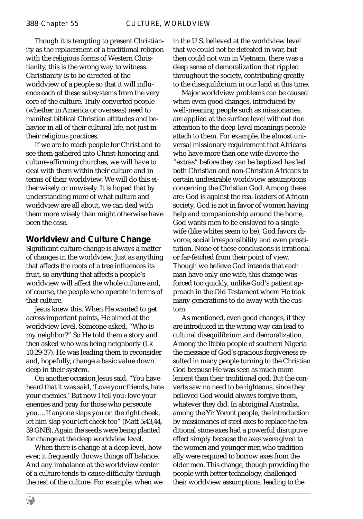Though it is tempting to present Christianity as the replacement of a traditional religion with the religious forms of Western Christianity, this is the wrong way to witness. Christianity is to be directed at the worldview of a people so that it will influence each of these subsystems from the very core of the culture. Truly converted people (whether in America or overseas) need to manifest biblical Christian attitudes and behavior in all of their cultural life, not just in their religious practices.

If we are to reach people for Christ and to see them gathered into Christ-honoring and culture-affirming churches, we will have to deal with them within their culture and in terms of their worldview. We will do this either wisely or unwisely. It is hoped that by understanding more of what culture and worldview are all about, we can deal with them more wisely than might otherwise have been the case.

#### **Worldview and Culture Change**

Significant culture change is always a matter of changes in the worldview. Just as anything that affects the roots of a tree influences its fruit, so anything that affects a people's worldview will affect the whole culture and, of course, the people who operate in terms of that culture.

Jesus knew this. When He wanted to get across important points, He aimed at the worldview level. Someone asked, "Who is my neighbor?" So He told them a story and then asked who was being neighborly (Lk 10:29-37). He was leading them to reconsider and, hopefully, change a basic value down deep in their system.

On another occasion Jesus said, "You have heard that it was said, 'Love your friends, hate your enemies.' But now I tell you: love your enemies and pray for those who persecute you.…If anyone slaps you on the right cheek, let him slap your left cheek too" (Matt 5:43,44, 39 GNB). Again the seeds were being planted for change at the deep worldview level.

When there is change at a deep level, however, it frequently throws things off balance. And any imbalance at the worldview center of a culture tends to cause difficulty through the rest of the culture. For example, when we

in the U.S. believed at the worldview level that we could not be defeated in war, but then could not win in Vietnam, there was a deep sense of demoralization that rippled throughout the society, contributing greatly to the disequilibrium in our land at this time.

Major worldview problems can be caused when even good changes, introduced by well-meaning people such as missionaries, are applied at the surface level without due attention to the deep-level meanings people attach to them. For example, the almost universal missionary requirement that Africans who have more than one wife divorce the "extras" before they can be baptized has led both Christian and non-Christian Africans to certain undesirable worldview assumptions concerning the Christian God. Among these are: God is against the real leaders of African society, God is not in favor of women having help and companionship around the home, God wants men to be enslaved to a single wife (like whites seem to be), God favors divorce, social irresponsibility and even prostitution. None of these conclusions is irrational or far-fetched from their point of view. Though we believe God intends that each man have only one wife, this change was forced too quickly, unlike God's patient approach in the Old Testament where He took many generations to do away with the custom.

As mentioned, even good changes, if they are introduced in the wrong way can lead to cultural disequilibrium and demoralization. Among the Ibibio people of southern Nigeria the message of God's gracious forgiveness resulted in many people turning to the Christian God because He was seen as much more lenient than their traditional god. But the converts saw no need to be righteous, since they believed God would always forgive them, whatever they did. In aboriginal Australia, among the Yir Yoront people, the introduction by missionaries of steel axes to replace the traditional stone axes had a powerful disruptive effect simply because the axes were given to the women and younger men who traditionally were required to borrow axes from the older men. This change, though providing the people with better technology, challenged their worldview assumptions, leading to the

€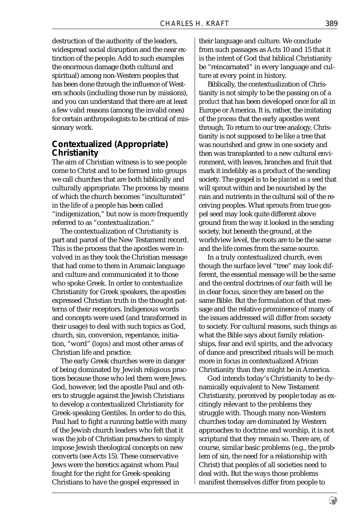destruction of the authority of the leaders, widespread social disruption and the near extinction of the people. Add to such examples the enormous damage (both cultural and spiritual) among non-Western peoples that has been done through the influence of Western schools (including those run by missions), and you can understand that there are at least a few valid reasons (among the invalid ones) for certain anthropologists to be critical of missionary work.

## **Contextualized** *(Appropriate)* **Christianity**

The aim of Christian witness is to see people come to Christ and to be formed into groups we call churches that are both biblically and culturally appropriate. The process by means of which the church becomes "inculturated" in the life of a people has been called "indigenization," but now is more frequently referred to as "contextualization."

The contextualization of Christianity is part and parcel of the New Testament record. This is the process that the apostles were involved in as they took the Christian message that had come to them in Aramaic language and culture and communicated it to those who spoke Greek. In order to contextualize Christianity for Greek speakers, the apostles expressed Christian truth in the thought patterns of their receptors. Indigenous words and concepts were used (and transformed in their usage) to deal with such topics as God, church, sin, conversion, repentance, initiation, "word" (*logos*) and most other areas of Christian life and practice.

The early Greek churches were in danger of being dominated by Jewish religious practices because those who led them were Jews. God, however, led the apostle Paul and others to struggle against the Jewish Christians to develop a contextualized Christianity for Greek-speaking Gentiles. In order to do this, Paul had to fight a running battle with many of the Jewish church leaders who felt that it was the job of Christian preachers to simply impose Jewish theological concepts on new converts (see Acts 15). These conservative Jews were the heretics against whom Paul fought for the right for Greek-speaking Christians to have the gospel expressed in

their language and culture. We conclude from such passages as Acts 10 and 15 that it is the intent of God that biblical Christianity be "reincarnated" in every language and culture at every point in history.

Biblically, the contextualization of Christianity is not simply to be the passing on of a *product* that has been developed once for all in Europe or America. It is, rather, the imitating of the *process* that the early apostles went through. To return to our tree analogy, Christianity is not supposed to be like a tree that was nourished and grew in one society and then was transplanted to a new cultural environment, with leaves, branches and fruit that mark it indelibly as a product of the sending society. The gospel is to be *planted as a seed* that will sprout within and be nourished by the rain and nutrients in the cultural soil of the receiving peoples. What sprouts from true gospel seed may look quite different above ground from the way it looked in the sending society, but beneath the ground, at the worldview level, the roots are to be the same and the life comes from the same source.

In a truly contextualized church, even though the surface level "tree" may look different, the essential message will be the same and the central doctrines of our faith will be in clear focus, since they are based on the same Bible. But the formulation of that message and the relative prominence of many of the issues addressed will differ from society to society. For cultural reasons, such things as what the Bible says about family relationships, fear and evil spirits, and the advocacy of dance and prescribed rituals will be much more in focus in contextualized African Christianity than they might be in America.

God intends today's Christianity to be dynamically equivalent to New Testament Christianity, perceived by people today as excitingly relevant to the problems they struggle with. Though many non-Western churches today are dominated by Western approaches to doctrine and worship, it is not scriptural that they remain so. There are, of course, similar basic problems (e.g., the problem of sin, the need for a relationship with Christ) that peoples of all societies need to deal with. But the ways those problems manifest themselves differ from people to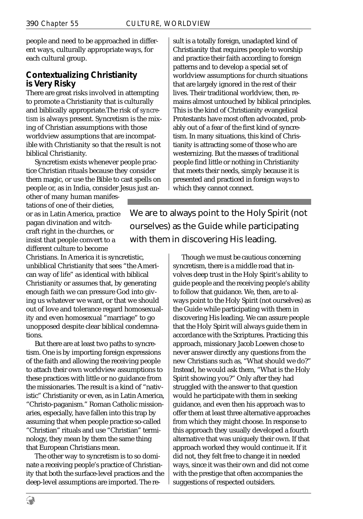people and need to be approached in different ways, culturally appropriate ways, for each cultural group.

## **Contextualizing Christianity is Very Risky**

There are great risks involved in attempting to promote a Christianity that is culturally and biblically appropriate.The risk of *syncretism* is always present. Syncretism is the mixing of Christian assumptions with those worldview assumptions that are incompatible with Christianity so that the result is not biblical Christianity.

Syncretism exists whenever people practice Christian rituals because they consider them magic, or use the Bible to cast spells on people or, as in India, consider Jesus just an-

other of many human manifestations of one of their dieties, or as in Latin America, practice pagan divination and witchcraft right in the churches, or insist that people convert to a different culture to become

Christians. In America it is syncretistic, unbiblical Christianity that sees "the American way of life" as identical with biblical Christianity or assumes that, by generating enough faith we can pressure God into giving us whatever we want, or that we should out of love and tolerance regard homosexuality and even homosexual "marriage" to go unopposed despite clear biblical condemnations.

But there are at least two paths to syncretism. One is by importing foreign expressions of the faith and allowing the receiving people to attach their own worldview assumptions to these practices with little or no guidance from the missionaries. The result is a kind of "nativistic" Christianity or even, as in Latin America, "Christo-paganism." Roman Catholic missionaries, especially, have fallen into this trap by assuming that when people practice so-called "Christian" rituals and use "Christian" terminology, they mean by them the same thing that European Christians mean.

The other way to syncretism is to so dominate a receiving people's practice of Christianity that both the surface-level practices and the deep-level assumptions are imported. The result is a totally foreign, unadapted kind of Christianity that requires people to worship and practice their faith according to foreign patterns and to develop a special set of worldview assumptions for church situations that are largely ignored in the rest of their lives. Their traditional worldview, then, remains almost untouched by biblical principles. This is the kind of Christianity evangelical Protestants have most often advocated, probably out of a fear of the first kind of syncretism. In many situations, this kind of Christianity is attracting some of those who are westernizing. But the masses of traditional people find little or nothing in Christianity that meets their needs, simply because it is presented and practiced in foreign ways to which they cannot connect.

We are to always point to the Holy Spirit (not ourselves) as the Guide while participating with them in discovering His leading.

> Though we must be cautious concerning syncretism, there is a middle road that involves deep trust in the Holy Spirit's ability to guide people and the receiving people's ability to follow that guidance. We, then, are to always point to the Holy Spirit (not ourselves) as the Guide while participating with them in discovering His leading. We can assure people that the Holy Spirit will always guide them in accordance with the Scriptures. Practicing this approach, missionary Jacob Loewen chose to never answer directly any questions from the new Christians such as, "What should we do?" Instead, he would ask them, "What is the Holy Spirit showing you?" Only after they had struggled with the answer to that question would he participate with them in seeking guidance, and even then his approach was to offer them at least three alternative approaches from which they might choose. In response to this approach they usually developed a fourth alternative that was uniquely their own. If that approach worked they would continue it. If it did not, they felt free to change it in needed ways, since it was their own and did not come with the prestige that often accompanies the suggestions of respected outsiders.